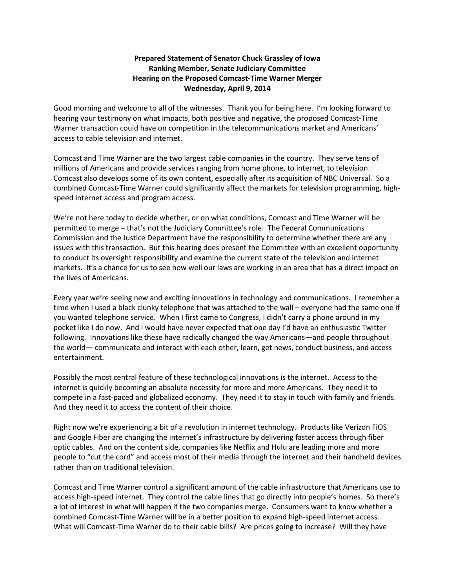## **Prepared Statement of Senator Chuck Grassley of Iowa Ranking Member, Senate Judiciary Committee Hearing on the Proposed Comcast-Time Warner Merger Wednesday, April 9, 2014**

Good morning and welcome to all of the witnesses. Thank you for being here. I'm looking forward to hearing your testimony on what impacts, both positive and negative, the proposed Comcast-Time Warner transaction could have on competition in the telecommunications market and Americans' access to cable television and internet.

Comcast and Time Warner are the two largest cable companies in the country. They serve tens of millions of Americans and provide services ranging from home phone, to internet, to television. Comcast also develops some of its own content, especially after its acquisition of NBC Universal. So a combined Comcast-Time Warner could significantly affect the markets for television programming, highspeed internet access and program access.

We're not here today to decide whether, or on what conditions, Comcast and Time Warner will be permitted to merge – that's not the Judiciary Committee's role. The Federal Communications Commission and the Justice Department have the responsibility to determine whether there are any issues with this transaction. But this hearing does present the Committee with an excellent opportunity to conduct its oversight responsibility and examine the current state of the television and internet markets. It's a chance for us to see how well our laws are working in an area that has a direct impact on the lives of Americans.

Every year we're seeing new and exciting innovations in technology and communications. I remember a time when I used a black clunky telephone that was attached to the wall – everyone had the same one if you wanted telephone service. When I first came to Congress, I didn't carry a phone around in my pocket like I do now. And I would have never expected that one day I'd have an enthusiastic Twitter following. Innovations like these have radically changed the way Americans—and people throughout the world— communicate and interact with each other, learn, get news, conduct business, and access entertainment.

Possibly the most central feature of these technological innovations is the internet. Access to the internet is quickly becoming an absolute necessity for more and more Americans. They need it to compete in a fast-paced and globalized economy. They need it to stay in touch with family and friends. And they need it to access the content of their choice.

Right now we're experiencing a bit of a revolution in internet technology. Products like Verizon FiOS and Google Fiber are changing the internet's infrastructure by delivering faster access through fiber optic cables. And on the content side, companies like Netflix and Hulu are leading more and more people to "cut the cord" and access most of their media through the internet and their handheld devices rather than on traditional television.

Comcast and Time Warner control a significant amount of the cable infrastructure that Americans use to access high-speed internet. They control the cable lines that go directly into people's homes. So there's a lot of interest in what will happen if the two companies merge. Consumers want to know whether a combined Comcast-Time Warner will be in a better position to expand high-speed internet access. What will Comcast-Time Warner do to their cable bills? Are prices going to increase? Will they have